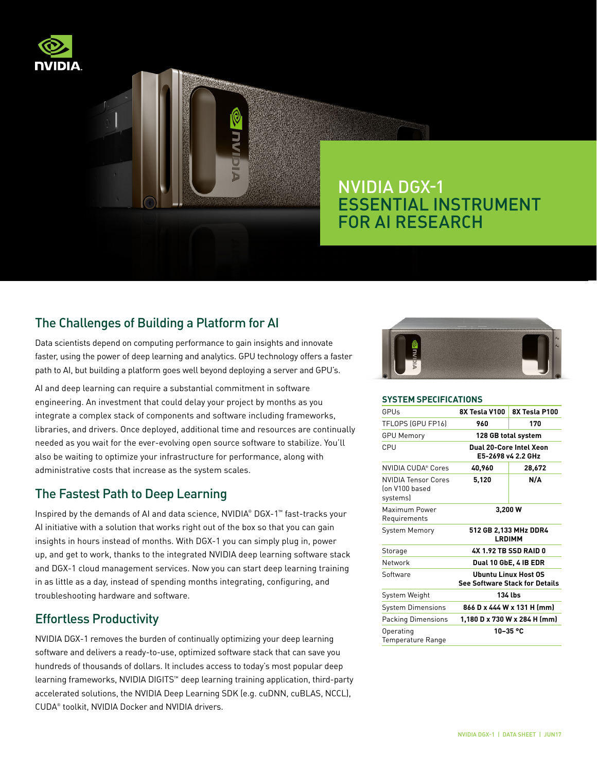

# NVIDIA DGX-1 ESSENTIAL INSTRUMENT FOR AI RESEARCH

## The Challenges of Building a Platform for AI

Data scientists depend on computing performance to gain insights and innovate faster, using the power of deep learning and analytics. GPU technology offers a faster path to AI, but building a platform goes well beyond deploying a server and GPU's.

AI and deep learning can require a substantial commitment in software engineering. An investment that could delay your project by months as you integrate a complex stack of components and software including frameworks, libraries, and drivers. Once deployed, additional time and resources are continually needed as you wait for the ever-evolving open source software to stabilize. You'll also be waiting to optimize your infrastructure for performance, along with administrative costs that increase as the system scales.

### The Fastest Path to Deep Learning

Inspired by the demands of AI and data science, NVIDIA® DGX-1™ fast-tracks your AI initiative with a solution that works right out of the box so that you can gain insights in hours instead of months. With DGX-1 you can simply plug in, power up, and get to work, thanks to the integrated NVIDIA deep learning software stack and DGX-1 cloud management services. Now you can start deep learning training in as little as a day, instead of spending months integrating, configuring, and troubleshooting hardware and software.

### Effortless Productivity

NVIDIA DGX-1 removes the burden of continually optimizing your deep learning software and delivers a ready-to-use, optimized software stack that can save you hundreds of thousands of dollars. It includes access to today's most popular deep learning frameworks, NVIDIA DIGITS™ deep learning training application, third-party accelerated solutions, the NVIDIA Deep Learning SDK (e.g. cuDNN, cuBLAS, NCCL), CUDA® toolkit, NVIDIA Docker and NVIDIA drivers.



#### **SYSTEM SPECIFICATIONS**

| GPUs                                                     | 8X Tesla V100                                                 | 8X Tesla P100 |
|----------------------------------------------------------|---------------------------------------------------------------|---------------|
| TFLOPS (GPU FP16)                                        | 960                                                           | 170           |
| <b>GPU Memory</b>                                        | 128 GB total system                                           |               |
| CPU                                                      | Dual 20-Core Intel Xeon<br>E5-2698 v4 2.2 GHz                 |               |
| NVIDIA CUDA® Cores                                       | 40,960                                                        | 28,672        |
| <b>NVIDIA Tensor Cores</b><br>lon V100 based<br>systems) | 5,120                                                         | N/A           |
| Maximum Power<br>Requirements                            | 3,200 W                                                       |               |
| <b>System Memory</b>                                     | 512 GB 2,133 MHz DDR4<br>LRDIMM                               |               |
| Storage                                                  | 4X 1.92 TB SSD RAID 0                                         |               |
| Network                                                  | Dual 10 GbE, 4 IB EDR                                         |               |
| Software                                                 | Ubuntu Linux Host OS<br><b>See Software Stack for Details</b> |               |
| System Weight                                            | 134 lbs                                                       |               |
| <b>System Dimensions</b>                                 | 866 D x 444 W x 131 H (mm)                                    |               |
| <b>Packing Dimensions</b>                                | 1,180 D x 730 W x 284 H (mm)                                  |               |
| Operating<br>Temperature Range                           |                                                               | 10-35 °C      |